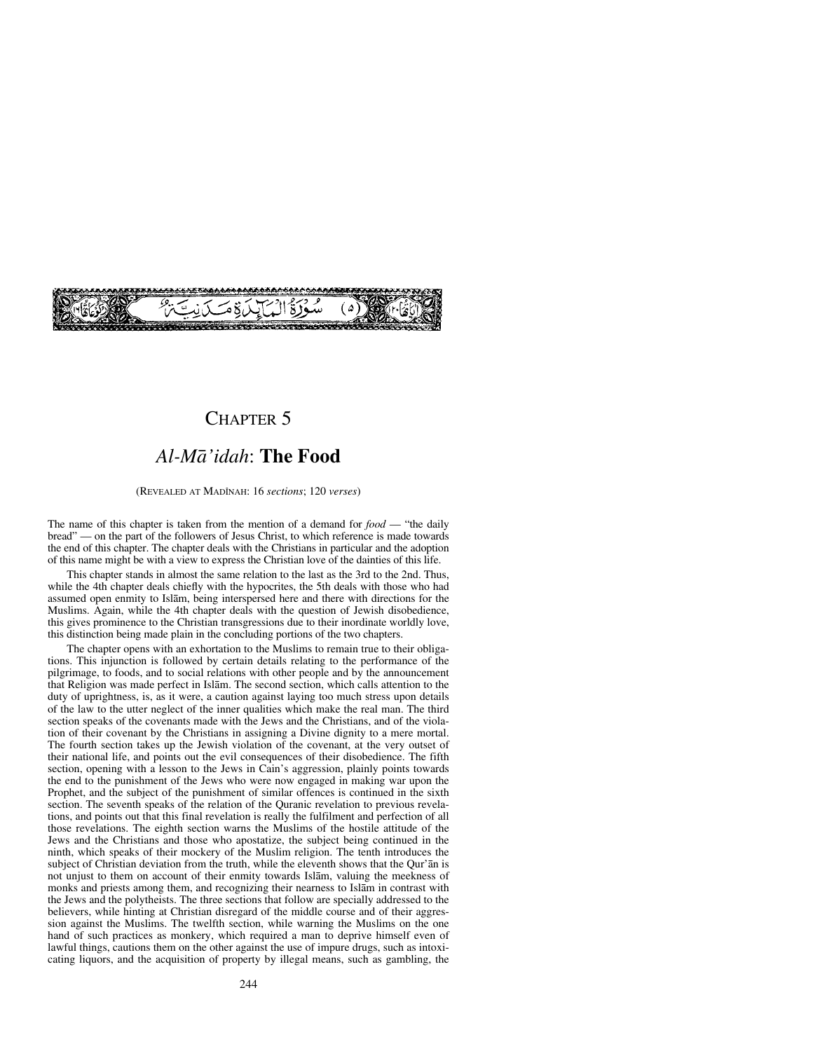# CHAPTER 5

# *Al-Må'idah*: **The Food**

### (REVEALED AT MADÍNAH: 16 *sections*; 120 *verses*)

The name of this chapter is taken from the mention of a demand for *food* — "the daily bread" — on the part of the followers of Jesus Christ, to which reference is made towards the end of this chapter. The chapter deals with the Christians in particular and the adoption of this name might be with a view to express the Christian love of the dainties of this life.

This chapter stands in almost the same relation to the last as the 3rd to the 2nd. Thus, while the 4th chapter deals chiefly with the hypocrites, the 5th deals with those who had assumed open enmity to Islåm, being interspersed here and there with directions for the Muslims. Again, while the 4th chapter deals with the question of Jewish disobedience, this gives prominence to the Christian transgressions due to their inordinate worldly love, this distinction being made plain in the concluding portions of the two chapters.

The chapter opens with an exhortation to the Muslims to remain true to their obligations. This injunction is followed by certain details relating to the performance of the pilgrimage, to foods, and to social relations with other people and by the announcement that Religion was made perfect in Islåm. The second section, which calls attention to the duty of uprightness, is, as it were, a caution against laying too much stress upon details of the law to the utter neglect of the inner qualities which make the real man. The third section speaks of the covenants made with the Jews and the Christians, and of the violation of their covenant by the Christians in assigning a Divine dignity to a mere mortal. The fourth section takes up the Jewish violation of the covenant, at the very outset of their national life, and points out the evil consequences of their disobedience. The fifth section, opening with a lesson to the Jews in Cain's aggression, plainly points towards the end to the punishment of the Jews who were now engaged in making war upon the Prophet, and the subject of the punishment of similar offences is continued in the sixth section. The seventh speaks of the relation of the Quranic revelation to previous revelations, and points out that this final revelation is really the fulfilment and perfection of all those revelations. The eighth section warns the Muslims of the hostile attitude of the Jews and the Christians and those who apostatize, the subject being continued in the ninth, which speaks of their mockery of the Muslim religion. The tenth introduces the subject of Christian deviation from the truth, while the eleventh shows that the Qur'ån is not unjust to them on account of their enmity towards Islåm, valuing the meekness of monks and priests among them, and recognizing their nearness to Islåm in contrast with the Jews and the polytheists. The three sections that follow are specially addressed to the believers, while hinting at Christian disregard of the middle course and of their aggression against the Muslims. The twelfth section, while warning the Muslims on the one hand of such practices as monkery, which required a man to deprive himself even of lawful things, cautions them on the other against the use of impure drugs, such as intoxicating liquors, and the acquisition of property by illegal means, such as gambling, the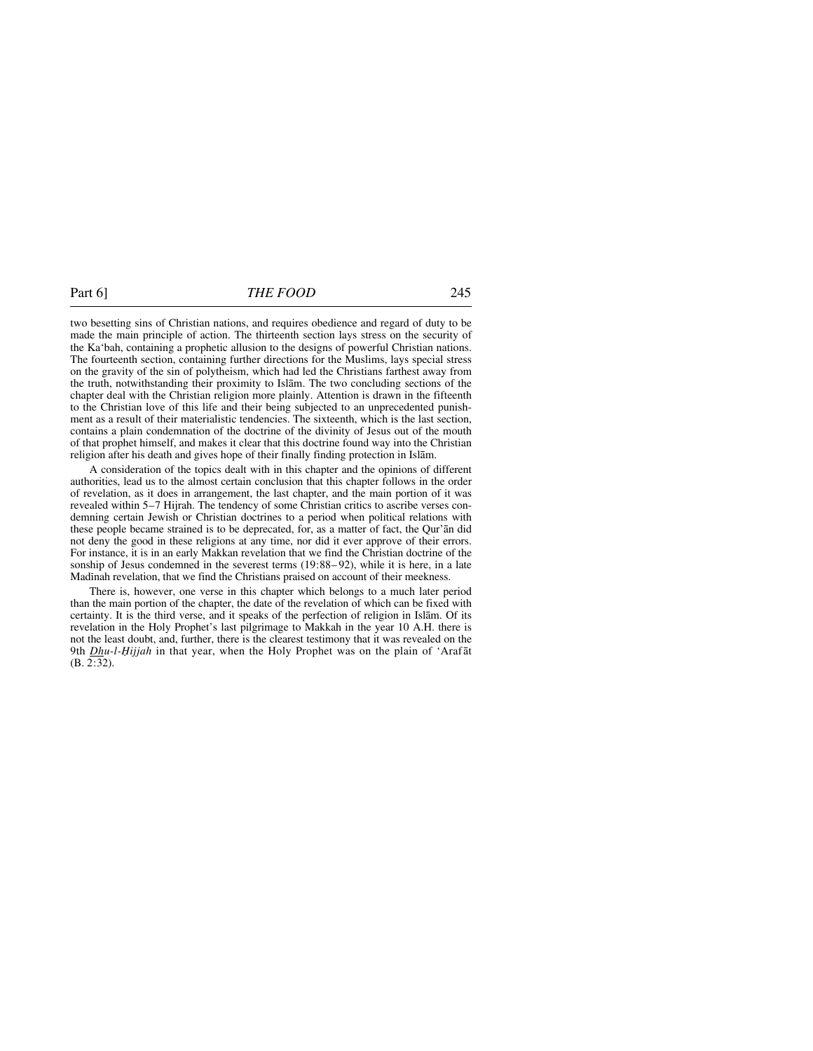two besetting sins of Christian nations, and requires obedience and regard of duty to be made the main principle of action. The thirteenth section lays stress on the security of the Ka'bah, containing a prophetic allusion to the designs of powerful Christian nations. The fourteenth section, containing further directions for the Muslims, lays special stress on the gravity of the sin of polytheism, which had led the Christians farthest away from the truth, notwithstanding their proximity to Islåm. The two concluding sections of the chapter deal with the Christian religion more plainly. Attention is drawn in the fifteenth to the Christian love of this life and their being subjected to an unprecedented punishment as a result of their materialistic tendencies. The sixteenth, which is the last section, contains a plain condemnation of the doctrine of the divinity of Jesus out of the mouth of that prophet himself, and makes it clear that this doctrine found way into the Christian religion after his death and gives hope of their finally finding protection in Islåm.

A consideration of the topics dealt with in this chapter and the opinions of different authorities, lead us to the almost certain conclusion that this chapter follows in the order of revelation, as it does in arrangement, the last chapter, and the main portion of it was revealed within 5–7 Hijrah. The tendency of some Christian critics to ascribe verses condemning certain Jewish or Christian doctrines to a period when political relations with these people became strained is to be deprecated, for, as a matter of fact, the Qur'ån did not deny the good in these religions at any time, nor did it ever approve of their errors. For instance, it is in an early Makkan revelation that we find the Christian doctrine of the sonship of Jesus condemned in the severest terms  $(19:88-92)$ , while it is here, in a late Madinah revelation, that we find the Christians praised on account of their meekness.

There is, however, one verse in this chapter which belongs to a much later period than the main portion of the chapter, the date of the revelation of which can be fixed with certainty. It is the third verse, and it speaks of the perfection of religion in Islåm. Of its revelation in the Holy Prophet's last pilgrimage to Makkah in the year 10 A.H. there is not the least doubt, and, further, there is the clearest testimony that it was revealed on the 9th *Dhu-l-Ïijjah* in that year, when the Holy Prophet was on the plain of 'Arafåt (B. 2:32).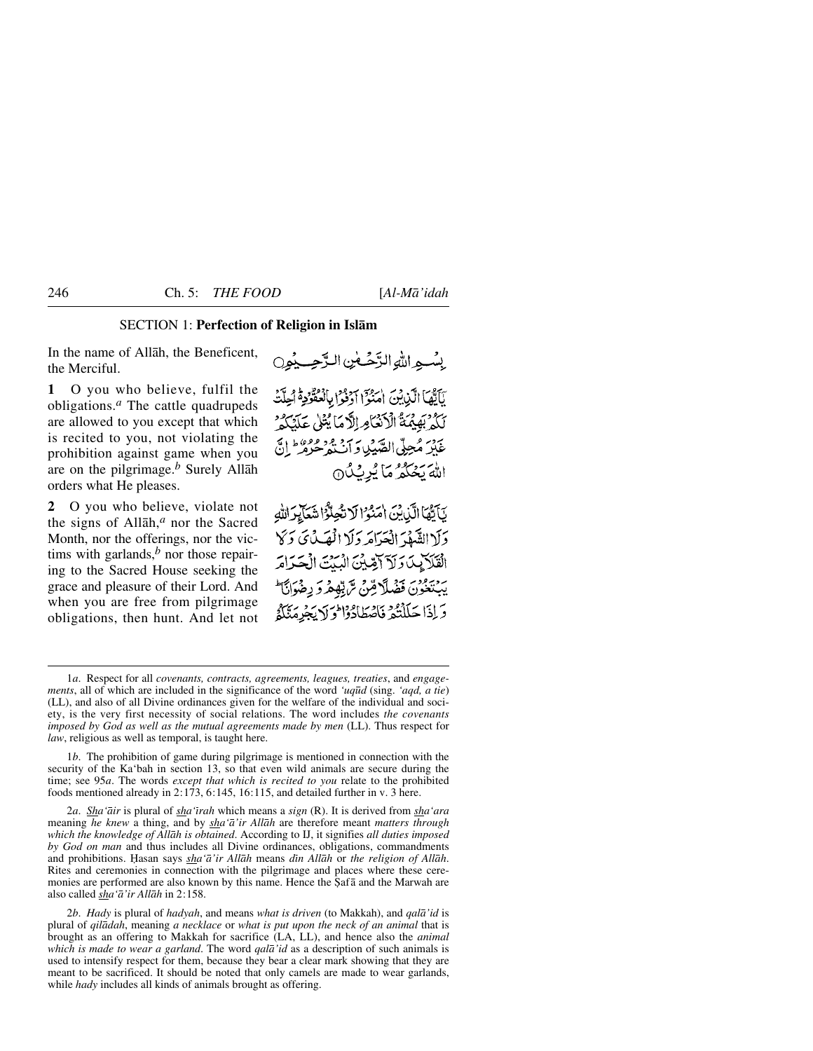# SECTION 1: **Perfection of Religion in Islåm**

In the name of Allåh, the Beneficent, the Merciful.

**1** O you who believe, fulfil the obligations.*<sup>a</sup>* The cattle quadrupeds are allowed to you except that which is recited to you, not violating the prohibition against game when you are on the pilgrimage.*<sup>b</sup>* Surely Allåh orders what He pleases.

**2** O you who believe, violate not the signs of Allåh,*<sup>a</sup>* nor the Sacred Month, nor the offerings, nor the victims with garlands, $<sup>b</sup>$  nor those repair-</sup> ing to the Sacred House seeking the grace and pleasure of their Lord. And when you are free from pilgrimage obligations, then hunt. And let not بِسْبِهِ اللَّهِ الزَّحْبِينِ الزَّحِبِيْهِيِ يَاَيَّهَا الَّذِيْنَ امَنُوَّا اَرْذُوْا بِالْعُثَّرُ \* اُحِلَّتُ لَكُمْ بَهِيْمَةُ الْأَنْعَامِ الْأَمَا يُتْلِي عَلَيْكُمْ عَلَىٰ مُحِلّى الصَّيْبِاوَ أَبْ هُ وَمُعْرَفَ إِنَّ اللهَ يَحُكُمُ مَا يُرِيْكُ 9

يَأَيُّهَا الَّذِينَ امْنُوْ الْاتْجِلَّوْا شَعَايِرَ اللهِ وَلَا الشَّهْدَ الْعَرَامَهِ وَلَا الْمَصَلْ يَ وَكَا القَلَايِكَ وَلَاَ آَسِّيْنَ الْبَنْتَ الْحَدَامَ يْهِيْتِعُونَ فَضَلَّا مِّنْ تَرَبِّهِمْ دَيْطِيْ الْمَالَ وَإِذَا حَلَلْتُمْ فَأَصْطَادُوْا وَلَا يَجْرِمَنَّكُمْ

1*b*. The prohibition of game during pilgrimage is mentioned in connection with the security of the Ka'bah in section 13, so that even wild animals are secure during the time; see 95*a*. The words *except that which is recited to you* relate to the prohibited foods mentioned already in 2:173, 6:145, 16:115, and detailed further in v. 3 here.

2*a*. *Sha'åir* is plural of *sha'ßrah* which means a *sign* (R). It is derived from *sha'ara* meaning *he knew* a thing, and by *sha'å'ir Allåh* are therefore meant *matters through which the knowledge of Allåh is obtained*. According to IJ, it signifies *all duties imposed by God on man* and thus includes all Divine ordinances, obligations, commandments and prohibitions. Hasan says *sha'ā'ir Allāh* means *dīn Allāh* or *the religion of Allāh*. Rites and ceremonies in connection with the pilgrimage and places where these ceremonies are performed are also known by this name. Hence the Şafā and the Marwah are also called *sha'å'ir Allåh* in 2:158.

2*b*. *Hady* is plural of *hadyah*, and means *what is driven* (to Makkah), and *qalå'id* is plural of *qilådah*, meaning *a necklace* or *what is put upon the neck of an animal* that is brought as an offering to Makkah for sacrifice (LA, LL), and hence also the *animal which is made to wear a garland*. The word *qalå'id* as a description of such animals is used to intensify respect for them, because they bear a clear mark showing that they are meant to be sacrificed. It should be noted that only camels are made to wear garlands, while *hady* includes all kinds of animals brought as offering.

<sup>1</sup>*a*. Respect for all *covenants, contracts, agreements, leagues, treaties*, and *engagements*, all of which are included in the significance of the word *'uq∂d* (sing. *'aqd, a tie*) (LL), and also of all Divine ordinances given for the welfare of the individual and society, is the very first necessity of social relations. The word includes *the covenants imposed by God as well as the mutual agreements made by men* (LL). Thus respect for *law*, religious as well as temporal, is taught here.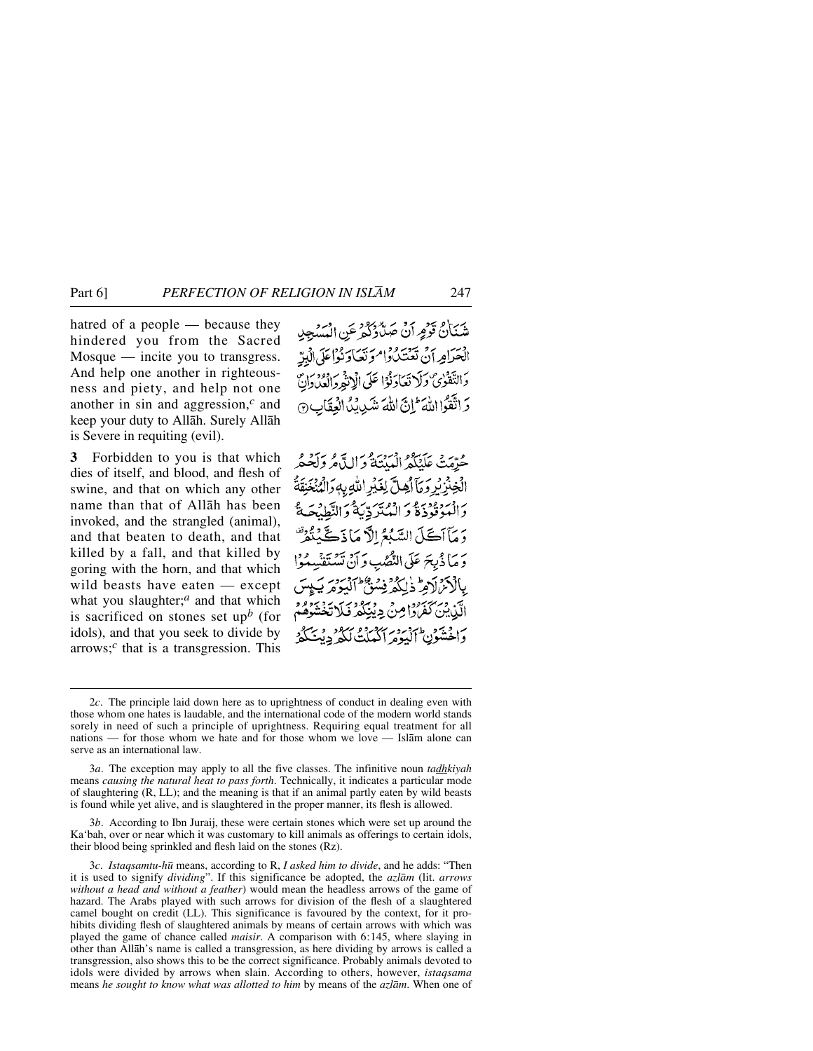hatred of a people — because they hindered you from the Sacred Mosque — incite you to transgress. And help one another in righteousness and piety, and help not one another in sin and aggression,*<sup>c</sup>* and keep your duty to Allåh. Surely Allåh is Severe in requiting (evil).

**3** Forbidden to you is that which dies of itself, and blood, and flesh of swine, and that on which any other name than that of Allåh has been invoked, and the strangled (animal), and that beaten to death, and that killed by a fall, and that killed by goring with the horn, and that which wild beasts have eaten — except what you slaughter;<sup>*a*</sup> and that which is sacrificed on stones set up*<sup>b</sup>* (for idols), and that you seek to divide by arrows;*<sup>c</sup>* that is a transgression. This

شَنَانُ قَوْمٍ أَنْ حَهِدٌّدُدُكُمْ عَنِ الْمَسْجِدِ اضرارية يسوروا مريحار واعلى البريّ دَالتَّقَوٰىٌ وَلَا تَعَادَنُوْا عَلَى الْإِنْثَمِ وَالْعُدَوانِ وَاتَّقَوْااللَّهَ إِنَّ اللَّهَ شَدِينِكُ الْعِقَابِ ۞

حُدِّمَتْ عَلَنْكُمُ الْمَدْنَةُ وَاللَّهُ مُروَلَحُكُمُ الْخِنْزِيْرِ وَمَآلِهِلَّ لِغَيْرِ اللَّهِ بِهِ وَالْمُنْخَنِقَةُ ى دىروودىدى <sub>(</sub>وەپرىي مات<sub>قا</sub>دىز<br>دانسوقودە د الىپتىردىيە دانت<u>ى</u>لىغ دَ مَأَاكَلَ السَّبُعُ إِلَّا مَاذَكَّيْتُهُرَّ وَ مَا ذُبِحَ عَلَى النَّصْبِ وَ آنَ تَسْتَفْسِدُوْا بالأمراد ويستشفن البومريكيين الَّذِينَ كَفَرُدًا مِنْ دِيْبَكُرْ فَلَا تَخْشَوْهُمْ وَاخْشُونِ الْبَوْمِ ٱكْعَلَتْ لَكُوْ دِينَ كَمْ ُ

<sup>2</sup>*c*. The principle laid down here as to uprightness of conduct in dealing even with those whom one hates is laudable, and the international code of the modern world stands sorely in need of such a principle of uprightness. Requiring equal treatment for all nations — for those whom we hate and for those whom we love — Islåm alone can serve as an international law.

<sup>3</sup>*a*. The exception may apply to all the five classes. The infinitive noun *tadhkiyah* means *causing the natural heat to pass forth*. Technically, it indicates a particular mode of slaughtering (R, LL); and the meaning is that if an animal partly eaten by wild beasts is found while yet alive, and is slaughtered in the proper manner, its flesh is allowed.

<sup>3</sup>*b*. According to Ibn Juraij, these were certain stones which were set up around the Ka'bah, over or near which it was customary to kill animals as offerings to certain idols, their blood being sprinkled and flesh laid on the stones (Rz).

<sup>3</sup>*c*. *Istaqsamtu-h∂* means, according to R, *I asked him to divide*, and he adds: "Then it is used to signify *dividing*". If this significance be adopted, the *azlåm* (lit. *arrows without a head and without a feather*) would mean the headless arrows of the game of hazard. The Arabs played with such arrows for division of the flesh of a slaughtered camel bought on credit (LL). This significance is favoured by the context, for it prohibits dividing flesh of slaughtered animals by means of certain arrows with which was played the game of chance called *maisir*. A comparison with 6:145, where slaying in other than Allåh's name is called a transgression, as here dividing by arrows is called a transgression, also shows this to be the correct significance. Probably animals devoted to idols were divided by arrows when slain. According to others, however, *istaqsama* means *he sought to know what was allotted to him* by means of the *azlåm*. When one of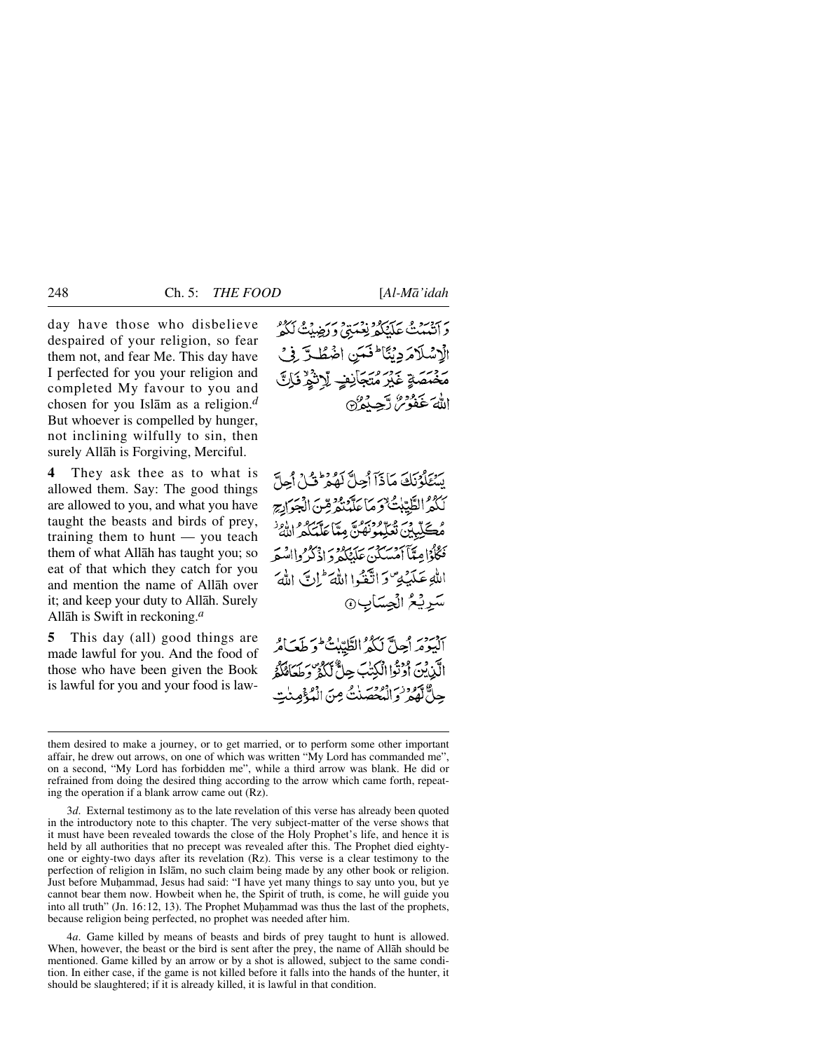day have those who disbelieve despaired of your religion, so fear them not, and fear Me. This day have I perfected for you your religion and completed My favour to you and chosen for you Islåm as a religion.*<sup>d</sup>* But whoever is compelled by hunger, not inclining wilfully to sin, then surely Allåh is Forgiving, Merciful.

**4** They ask thee as to what is allowed them. Say: The good things are allowed to you, and what you have taught the beasts and birds of prey, training them to hunt — you teach them of what Allåh has taught you; so eat of that which they catch for you and mention the name of Allåh over it; and keep your duty to Allåh. Surely Allåh is Swift in reckoning.*<sup>a</sup>*

**5** This day (all) good things are made lawful for you. And the food of those who have been given the Book is lawful for you and your food is lawدَ آتَيْبَنْتُ عَلَيْكُمْ نِعْبَةً وَ رَضِيْتُ لَكُوْ الْإِسْلَامَ دِيْتًا لَمَنِينِ اضْطُلَّتِ فِي *؞ۮؘؠؘ*ڡؘؠۊۭٙۼڹۣڔڡؾڄٳڹڣٟۦڷۣٳڎ۫ؿٟ۠ٳڡ۬ٳڷٞ اللهَ عَفُوْسُ دَّجِيدُهِ

سُتَلَوْنَكَ مَاذَآ أَحِلَّ لَمُوۡ فَلَىٰ أَحِلَّ لَكُمُّ الطَّيِّبٰتُ وَمَا عِلْمُنْمِرَّةٍ لَ الْجَزَايِجِ مُڪَلِّيِينَ تُعَلِّمُونَ مَنَّ عَلَّمَکُمُ اللَّهُ ۚ فَكْلُوْا مِيّاً أَمْسَكَن عَلَيْكُمْ وَ أَذْكُرُوااسْتَرِ اللَّهِ عَلَيْهِ مَنْ اتَّغْنُوا اللَّهَ ۖ إِنَّ اللَّهَ سَرِيْعُ الْجِسَابِ۞

آنيومَ أَحِلَّ لَكُمُّ الطَّيِّبِكُ لَوَ طَعَبَامُ الَّذِينَ ادْتُوا الْكِتْبَ حِلٌّ لَكُثُرٌ وَطَعَائِكُمْ حِلٌّ لَهُمْ وَالْمُحْصَنْتُ مِنَ الْمُؤْمِنٰ

4*a*. Game killed by means of beasts and birds of prey taught to hunt is allowed. When, however, the beast or the bird is sent after the prey, the name of Allåh should be mentioned. Game killed by an arrow or by a shot is allowed, subject to the same condition. In either case, if the game is not killed before it falls into the hands of the hunter, it should be slaughtered; if it is already killed, it is lawful in that condition.

them desired to make a journey, or to get married, or to perform some other important affair, he drew out arrows, on one of which was written "My Lord has commanded me", on a second, "My Lord has forbidden me", while a third arrow was blank. He did or refrained from doing the desired thing according to the arrow which came forth, repeating the operation if a blank arrow came out (Rz).

<sup>3</sup>*d*. External testimony as to the late revelation of this verse has already been quoted in the introductory note to this chapter. The very subject-matter of the verse shows that it must have been revealed towards the close of the Holy Prophet's life, and hence it is held by all authorities that no precept was revealed after this. The Prophet died eightyone or eighty-two days after its revelation (Rz). This verse is a clear testimony to the perfection of religion in Islåm, no such claim being made by any other book or religion. Just before Muhammad, Jesus had said: "I have yet many things to say unto you, but ye cannot bear them now. Howbeit when he, the Spirit of truth, is come, he will guide you into all truth" (Jn.  $16:12$ , 13). The Prophet Muhammad was thus the last of the prophets, because religion being perfected, no prophet was needed after him.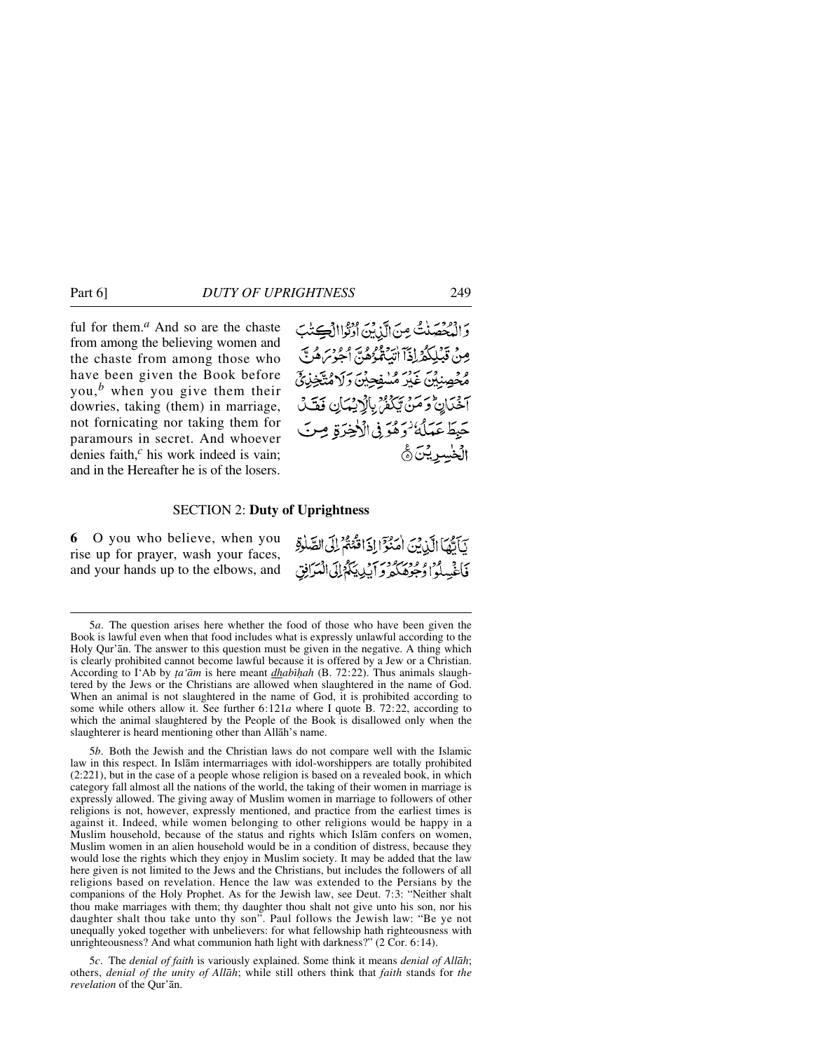ful for them.*<sup>a</sup>* And so are the chaste from among the believing women and the chaste from among those who have been given the Book before you,*<sup>b</sup>* when you give them their dowries, taking (them) in marriage, not fornicating nor taking them for paramours in secret. And whoever denies faith,*<sup>c</sup>* his work indeed is vain; and in the Hereafter he is of the losers.

وَالْمُحْصَنْتُ مِنَ الَّذِينَ أَوْنُواالْكِتَبَ مِينْ قَبْلِكُمْرِاذَآ اتِّبَعْدُهُمْ" أَحِوْسَ هُرِيّ مُحْصِنِينَ غَيْرَ مُسْفِحِينَ رَلَا مُتَّخِذِيَّ آخْدَانِ وَمَنْ يَبْكُمْ بِالْإِيْمَانِ فَقَلْ حَبِطَ عَمَلُهُ ٰ دَهُوَ فِي الْأَخِيرَةِ مِنَ الخسرينة

## SECTION 2: **Duty of Uprightness**

**6** O you who believe, when you rise up for prayer, wash your faces, and your hands up to the elbows, and

| يَأَيُّهَا الَّذِينَ اٰمَنُوٓ إِذَاقَّنُهُمْ لِلَّى الصَّلَٰوَّةِ |  |
|-------------------------------------------------------------------|--|
| فَأَغْسِلُوا وُجُوهَكُمْ وَآيْدِيَكُمُ إِلَى الْمَرَانِيّ         |  |

<sup>5</sup>*a*. The question arises here whether the food of those who have been given the Book is lawful even when that food includes what is expressly unlawful according to the Holy Qur'ån. The answer to this question must be given in the negative. A thing which is clearly prohibited cannot become lawful because it is offered by a Jew or a Christian. According to I'Ab by *∆a'åm* is here meant *dhabß√ah* (B. 72:22). Thus animals slaughtered by the Jews or the Christians are allowed when slaughtered in the name of God. When an animal is not slaughtered in the name of God, it is prohibited according to some while others allow it. See further 6:121*a* where I quote B. 72:22, according to which the animal slaughtered by the People of the Book is disallowed only when the slaughterer is heard mentioning other than Allåh's name.

5*b*. Both the Jewish and the Christian laws do not compare well with the Islamic law in this respect. In Islåm intermarriages with idol-worshippers are totally prohibited (2:221), but in the case of a people whose religion is based on a revealed book, in which category fall almost all the nations of the world, the taking of their women in marriage is expressly allowed. The giving away of Muslim women in marriage to followers of other religions is not, however, expressly mentioned, and practice from the earliest times is against it. Indeed, while women belonging to other religions would be happy in a Muslim household, because of the status and rights which Islåm confers on women, Muslim women in an alien household would be in a condition of distress, because they would lose the rights which they enjoy in Muslim society. It may be added that the law here given is not limited to the Jews and the Christians, but includes the followers of all religions based on revelation. Hence the law was extended to the Persians by the companions of the Holy Prophet. As for the Jewish law, see Deut. 7:3: "Neither shalt thou make marriages with them; thy daughter thou shalt not give unto his son, nor his daughter shalt thou take unto thy son". Paul follows the Jewish law: "Be ye not unequally yoked together with unbelievers: for what fellowship hath righteousness with unrighteousness? And what communion hath light with darkness?" (2 Cor. 6:14).

5*c*. The *denial of faith* is variously explained. Some think it means *denial of Allåh*; others, *denial of the unity of Allåh*; while still others think that *faith* stands for *the revelation* of the Qur'ån.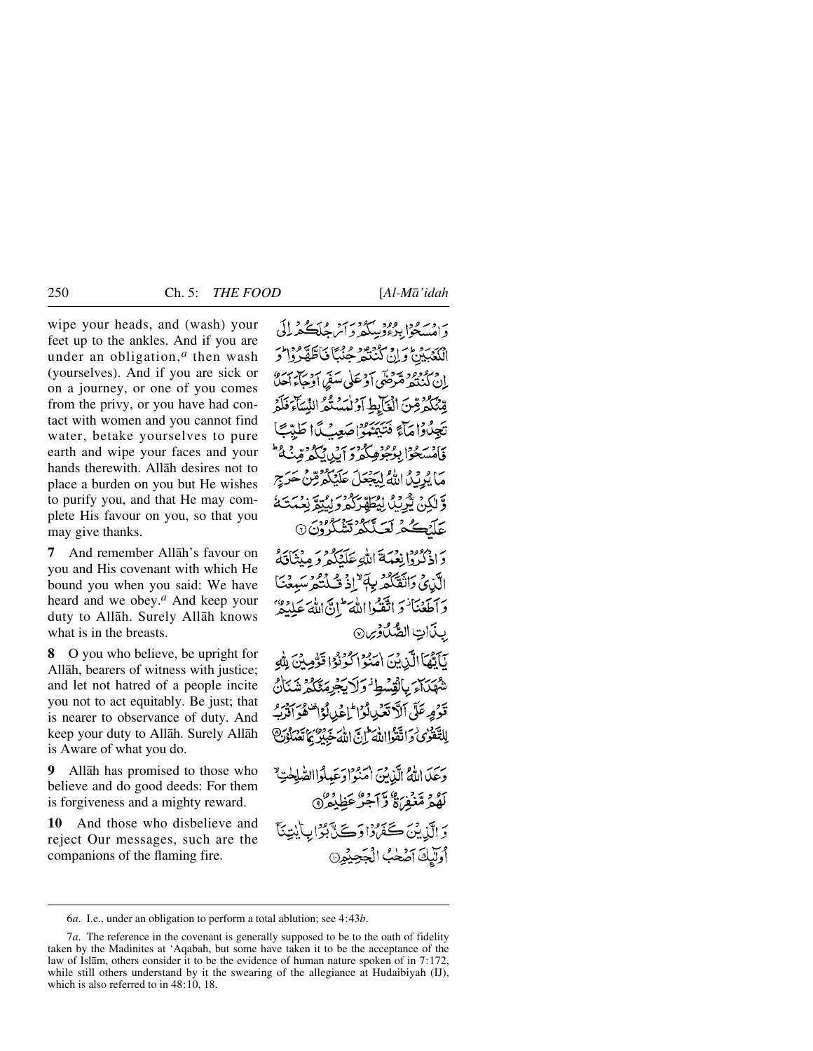wipe your heads, and (wash) your feet up to the ankles. And if you are under an obligation,*<sup>a</sup>* then wash (yourselves). And if you are sick or on a journey, or one of you comes from the privy, or you have had contact with women and you cannot find water, betake yourselves to pure earth and wipe your faces and your hands therewith. Allåh desires not to place a burden on you but He wishes to purify you, and that He may complete His favour on you, so that you may give thanks.

**7** And remember Allåh's favour on you and His covenant with which He bound you when you said: We have heard and we obey.*<sup>a</sup>* And keep your duty to Allåh. Surely Allåh knows what is in the breasts.

**8** O you who believe, be upright for Allåh, bearers of witness with justice; and let not hatred of a people incite you not to act equitably. Be just; that is nearer to observance of duty. And keep your duty to Allåh. Surely Allåh is Aware of what you do.

**9** Allåh has promised to those who believe and do good deeds: For them is forgiveness and a mighty reward.

**10** And those who disbelieve and reject Our messages, such are the companions of the flaming fire.

يه وسرود رودو سرود سر سر دي.<br>د امسځوا برءوسکورو آسڪريل الْكَعَبَيْنَ وَإِنَّ كَيْنَتُمْ حَنْبًا نَاطَّةً فَرْائِحَ ان دروود سوس .<br>ان کنده مقرضی او علی سفر او حاء آها مِّنْتُكُمْ مِّنَ الْغَابِطِ آوْ لْمَسْتُمُّ النِّسَآءَ فَلَمْ تَجِدُّدُامَآءَ فَتَمَيَّنُوْ صَعِيَّدَا طَدَّيَّا فَأَمْسَحُوا بِوُعُوْهِ كُرُورَ بِنَ وَكُرْمٌ قِينَةُ ۖ مَا يُرِيْدُ اللَّهُ لِيَجْعَلَ عَلَيْكُمْ قِنْ حَرَجِ وَّ لَكِنْ يُرْبِّكُ لِيُطَهَّرَكُمْ وَ لِيُبَمَّ نِعْبَتَكُمْ عَلَيْكُمْ لَعَلَّكُمْ تَشْكُرُوْنَ ۞

دَاذْكُرُوْانِعْمَةَ اللَّهِ عَلَيْكُمْ وَمِيْتَاقِيَةُ الَّذِي وَاتَقَلَّكْمُ بِهَمْ إِذْ قُبِلَتُكُمْ سَبِعْنَا وَأَطَعْنَا وَاتَّقَدُوا اللَّهَ ۖ إِنَّ اللَّهَ عَلَيْكُمْ ۚ بِذَاتِ الصَّلَاوِينِ يَأَتُّهَا الَّذِينَ اٰمَنُوْا كُوْنُوْا قَوُٰمِنَىٰ لِلَّٰهِ شهكتائر بالقسط وكريجرمتكم شنان

قَوْمِهِ عَلَى ٱلْأَنْعَبِ لَوْالْمَاعُدِ لَوْاً مَعْ وَالَّذِبَّ لِلتَّقْرَىٰ وَاتَّقَوْااللَّهُ إِنَّ اللَّهُ جَبُرٌ يَاتَعَبُلُوْنَ

وَعَلَىٰ اللَّهُ الَّذِينَ أَمَنُوا دَعَبِيلُوا الصَّلِحُةِ لَّهُمْ مَّغْفِرْ، وَ آجِرٌ عَظِيْمٌ (٩ دَ الَّذِينَ كَفَرُدُا دَكَنَّ بَعُرَابِ أَيْتِنَاً أُولَّيْكَ آصَحْبُ الْجَحِيْمِنَ

<sup>6</sup>*a*. I.e., under an obligation to perform a total ablution; see 4:43*b*.

<sup>7</sup>*a*. The reference in the covenant is generally supposed to be to the oath of fidelity taken by the Madinites at 'Aqabah, but some have taken it to be the acceptance of the law of Islåm, others consider it to be the evidence of human nature spoken of in 7:172, while still others understand by it the swearing of the allegiance at Hudaibiyah (IJ), which is also referred to in 48:10, 18.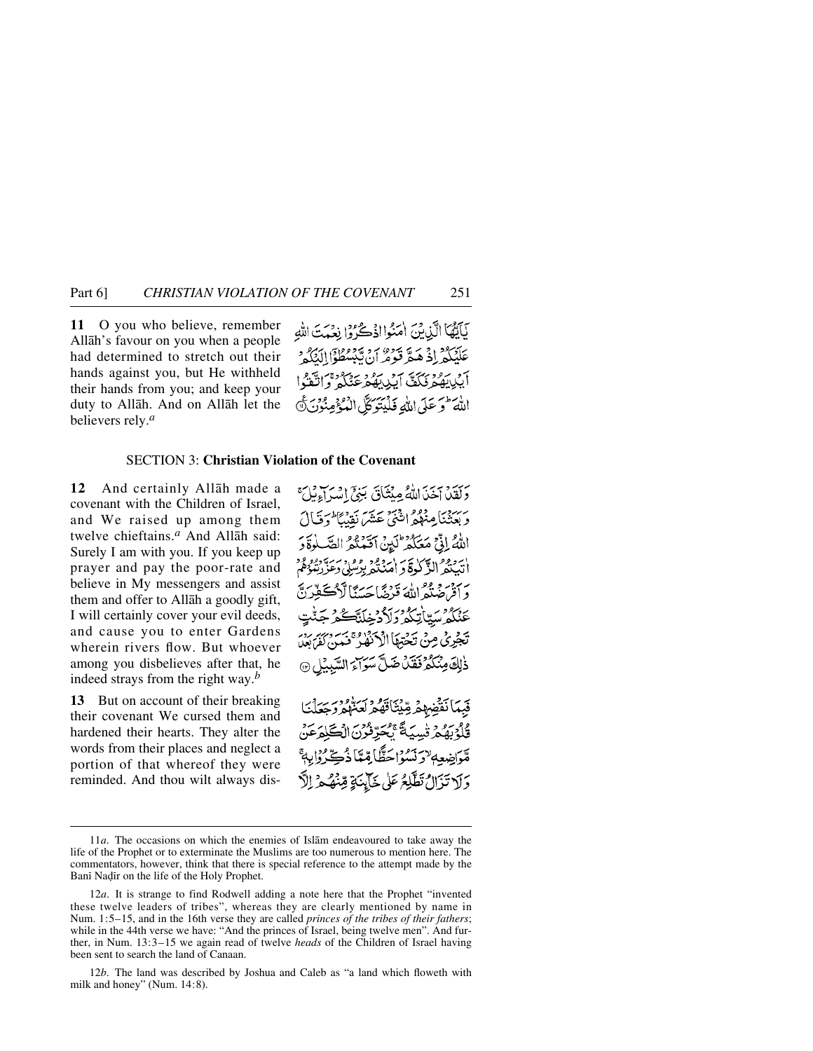Part 6] *CHRISTIAN VIOLATION OF THE COVENANT* 251

**11** O you who believe, remember Allåh's favour on you when a people had determined to stretch out their hands against you, but He withheld their hands from you; and keep your duty to Allåh. And on Allåh let the believers rely.*<sup>a</sup>*

نَاتِهُمَا الَّذِينَ اٰمَنُوااذْكُرُوا بِعَيْتَ اللَّه عَلَّفَكُمْ إِذْ هَيَّ قَوْمٌ أَنْ تَسْتَطُوْا لَ برود بہر ہے ہے۔<br>بھیرہ ٹکف ایک بھر عنگہ وا اللَّهَ وَ عَلَى اللَّهِ فَلَيْتَوَكَّلُ الْمُؤْمِنُونَ

# SECTION 3: **Christian Violation of the Covenant**

**12** And certainly Allåh made a covenant with the Children of Israel, and We raised up among them twelve chieftains.*<sup>a</sup>* And Allåh said: Surely I am with you. If you keep up prayer and pay the poor-rate and believe in My messengers and assist them and offer to Allåh a goodly gift, I will certainly cover your evil deeds, and cause you to enter Gardens wherein rivers flow. But whoever among you disbelieves after that, he indeed strays from the right way.*<sup>b</sup>*

**13** But on account of their breaking their covenant We cursed them and hardened their hearts. They alter the words from their places and neglect a portion of that whereof they were reminded. And thou wilt always disبِرَبِيَرٍ بِنَ اللَّهُ مِنْثَاقَ بَنِيٍّ إِنَّهُ إِمْرَاءِ لَهِ مَ رسيني عِنْهُمُ اثْنَيْ عَشَرَ نَقِيبًا يُحَوَّيَالَ اللَّهُ إِذَّى مَعَكَّمُ ۚ لَئِنۡ آَقَبَٰنُكُمُ الصَّهَ أتَبَعْثُهُ الذَّكَّلُوَةُ وَ أَمَّ بروبرو وهران قذبتي عَنْكُمْ سَتَأْتَكُمْ دَ تَجَرِيُ مِنْ تَخْتِطَأْ الْأَنْفَاعَنَتْ: لَّ سَوَاءَ السَّيدُلِيِّ ذٰلِكَ مِنْكُمْ فَقَلْ ضَد  $\widehat{\mathbb{R}}$ 

قبرَاضِعِهِ يَرْتَدَمُ احَظًا مِّيَا ذُهِ دَلا تَزَالُ تَطَّلِعُ عَلَى خَآيِنَةٍ قِهِ

12*b*. The land was described by Joshua and Caleb as "a land which floweth with milk and honey" (Num. 14:8).

<sup>11</sup>*a*. The occasions on which the enemies of Islåm endeavoured to take away the life of the Prophet or to exterminate the Muslims are too numerous to mention here. The commentators, however, think that there is special reference to the attempt made by the Bani Nadir on the life of the Holy Prophet.

<sup>12</sup>*a*. It is strange to find Rodwell adding a note here that the Prophet "invented these twelve leaders of tribes", whereas they are clearly mentioned by name in Num. 1:5–15, and in the 16th verse they are called *princes of the tribes of their fathers*; while in the 44th verse we have: "And the princes of Israel, being twelve men". And further, in Num. 13:3–15 we again read of twelve *heads* of the Children of Israel having been sent to search the land of Canaan.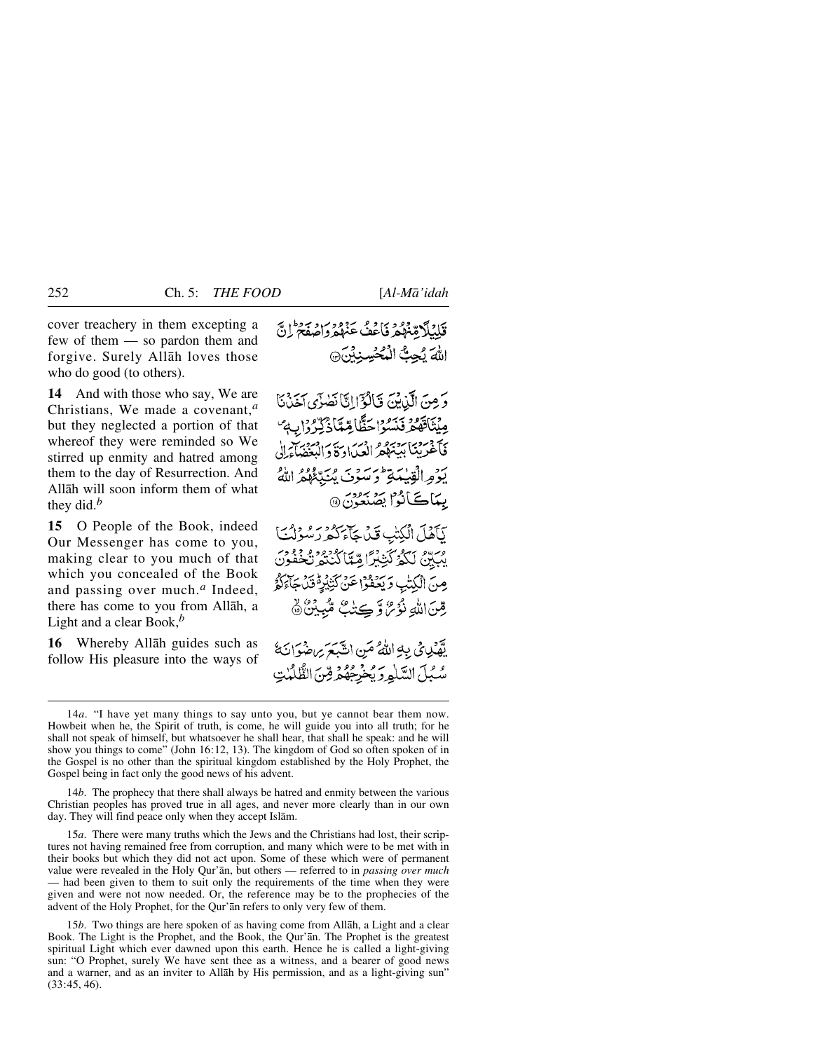cover treachery in them excepting a few of them — so pardon them and forgive. Surely Allåh loves those who do good (to others).

**14** And with those who say, We are Christians, We made a covenant,*<sup>a</sup>* but they neglected a portion of that whereof they were reminded so We stirred up enmity and hatred among them to the day of Resurrection. And Allåh will soon inform them of what they did.*<sup>b</sup>*

**15** O People of the Book, indeed Our Messenger has come to you, making clear to you much of that which you concealed of the Book and passing over much.*<sup>a</sup>* Indeed, there has come to you from Allåh, a Light and a clear Book,*<sup>b</sup>*

**16** Whereby Allåh guides such as follow His pleasure into the ways of

وَمِنَ الَّذِيْنَ فَالْوَّايِّ أَصْنَى آخَذْنَا مِينَاقَهُ مِرْبَرُهُ اِحَظَّامِّعَاذُ كِّرْدُوْ اِبِ مِنْ كَأْخْرِيبْنَا بِرَيْبَهُمْ ادْسَرَا دَوَّدَ الْبَعْضَاءَ إِلَى يَوْمِرالْقِيلِيَةِ ثَوْسَوْنَ يُنَدِّعُهُمْ اللَّهُ بِيَاكَأْنُوْا يَصْنَعُونَ @

يَأْهَلَ الْكِتَبِ قَيْدِ حَآءَ كَثَرِ رَسُوْلُتَ يْبَيِّنُ لَكَمُرْكَّتِيْرًا مِّيَّا كُنْتُمْرُنْخُفُونَ مِنَ الْكِتْبِ وَيَعْفَوْا عَنْ كَتِبْيَوْقَانَ جَآءَكُمْ رِّضَ اللَّهِ نُؤْمٌ وَّكِيْتُ مُّبِيِّنٌ ﴾

يْهْكِي فِي بِهِ اللَّهُ مَنِ انَّتَبَعَ يَاضُوْانَ أَ سُبُلَ السَّلْمِرَ يُخْرِجُهُمْ قِنَ الطَّلْمٰتِ

14*b*. The prophecy that there shall always be hatred and enmity between the various Christian peoples has proved true in all ages, and never more clearly than in our own day. They will find peace only when they accept Islåm.

15*a*. There were many truths which the Jews and the Christians had lost, their scriptures not having remained free from corruption, and many which were to be met with in their books but which they did not act upon. Some of these which were of permanent value were revealed in the Holy Qur'ån, but others — referred to in *passing over much* — had been given to them to suit only the requirements of the time when they were given and were not now needed. Or, the reference may be to the prophecies of the advent of the Holy Prophet, for the Qur'ån refers to only very few of them.

15*b*. Two things are here spoken of as having come from Allåh, a Light and a clear Book. The Light is the Prophet, and the Book, the Qur'ån. The Prophet is the greatest spiritual Light which ever dawned upon this earth. Hence he is called a light-giving sun: "O Prophet, surely We have sent thee as a witness, and a bearer of good news and a warner, and as an inviter to Allåh by His permission, and as a light-giving sun" (33:45, 46).

<sup>14</sup>*a*. "I have yet many things to say unto you, but ye cannot bear them now. Howbeit when he, the Spirit of truth, is come, he will guide you into all truth; for he shall not speak of himself, but whatsoever he shall hear, that shall he speak: and he will show you things to come" (John 16:12, 13). The kingdom of God so often spoken of in the Gospel is no other than the spiritual kingdom established by the Holy Prophet, the Gospel being in fact only the good news of his advent.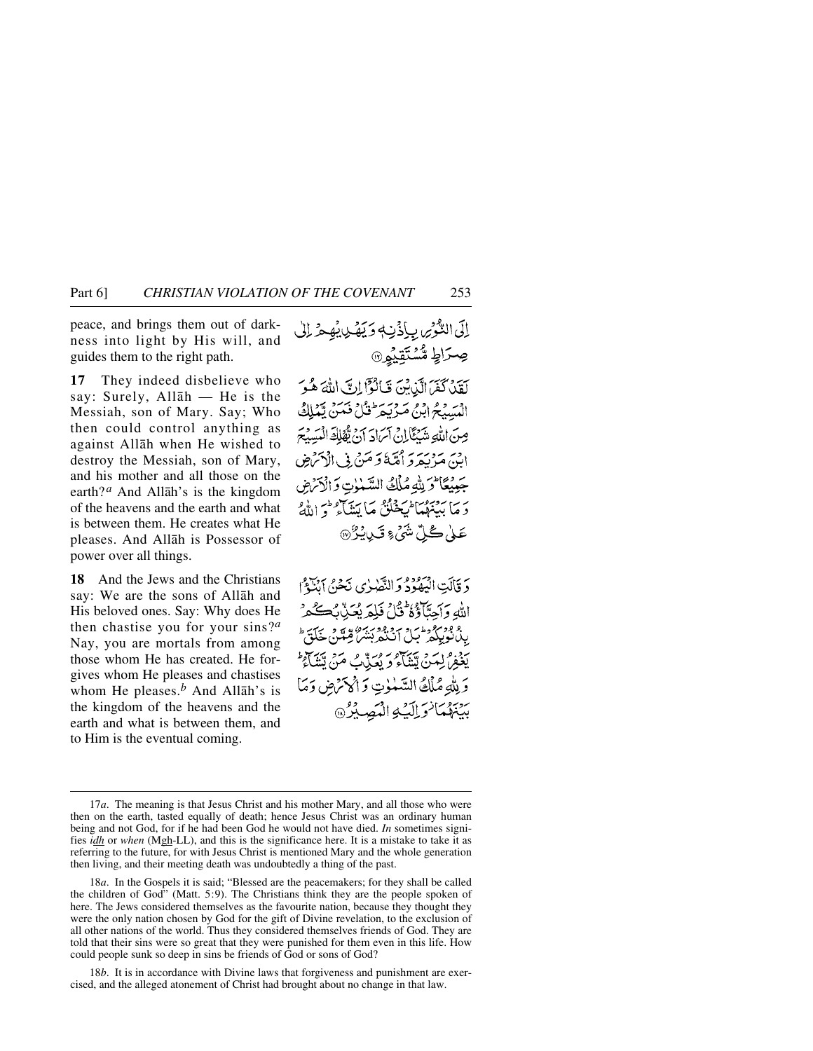peace, and brings them out of darkness into light by His will, and guides them to the right path.

**17** They indeed disbelieve who say: Surely, Allåh — He is the Messiah, son of Mary. Say; Who then could control anything as against Allåh when He wished to destroy the Messiah, son of Mary, and his mother and all those on the earth?<sup>*a*</sup> And Allāh's is the kingdom of the heavens and the earth and what is between them. He creates what He pleases. And Allåh is Possessor of power over all things.

**18** And the Jews and the Christians say: We are the sons of Allåh and His beloved ones. Say: Why does He then chastise you for your sins?*<sup>a</sup>* Nay, you are mortals from among those whom He has created. He forgives whom He pleases and chastises whom He pleases.*<sup>b</sup>* And Allåh's is the kingdom of the heavens and the earth and what is between them, and to Him is the eventual coming.

اِلَى التَّوْسِ بِإِذْنِهِ وَيَهْدِيهِ هِ الْى ڝؚڒٳڟٟۣ؋*ۺ۠*ڹۜۘۊٟؽؙۣۅۣۨ۞ لَقَدْ كَفَرَ الَّذِيْنَ قَالَوْاً إِنَّ اللَّهَ هُوَ الْمَسَبِّحُ ابْنُ مَرْيَحِرٌ فَيْلُ فَمَنْ يَمْلِكُ صِنَ اللَّهِ شَنْتَأَلِّ فِي آسَادَ أَنْ تَقْلِلَهِ الْمَسَدَّمَ ابِنَ مَرْبَعَ دَ أُمَّةً وَ مَنْ فِي الْإِسْ ضِ جَبِيْعًا لَمْ بِلَّهِ مُلْكُ السَّبْنِوتِ وَالْآمَرُضِ دَ مَا بِيَنْهُمْ الْمَخْلُقُ مَا يَبَنَيْ وَ اللَّهُ ۚ عَلٰى ڪُلِّ شَيۡءٍ تَيۡلِيۡرُ ۞

دَ قَالَتِ الْيَمُوْدُ وَالنَّصْرُى نَحْنُ أَنْبَعُوْ اللهِ وَأَحِيَّأَوْهُ فَلَا فَلِمَرِ بُعَيْنٌ بِمَكَّمِرٌ ر فوقوع وط<sup>س د</sup>یر و فوجه به در منظم به تنها<br>بیانویله مثل انتها بیشر، منظم به تن يجزه ايمزه ميهج و وسر من هي سر سر اين وَلِلَّهِ مُلْكُ السَّمْوٰتِ وَأَوْكَنَّهِن وَمَا سِيَهْمَا وَالِيَّةِ الْمَصِيْرُ

18*b*. It is in accordance with Divine laws that forgiveness and punishment are exercised, and the alleged atonement of Christ had brought about no change in that law.

<sup>17</sup>*a*. The meaning is that Jesus Christ and his mother Mary, and all those who were then on the earth, tasted equally of death; hence Jesus Christ was an ordinary human being and not God, for if he had been God he would not have died. *In* sometimes signifies *idh* or *when* (Mgh-LL), and this is the significance here. It is a mistake to take it as referring to the future, for with Jesus Christ is mentioned Mary and the whole generation then living, and their meeting death was undoubtedly a thing of the past.

<sup>18</sup>*a*. In the Gospels it is said; "Blessed are the peacemakers; for they shall be called the children of God" (Matt. 5:9). The Christians think they are the people spoken of here. The Jews considered themselves as the favourite nation, because they thought they were the only nation chosen by God for the gift of Divine revelation, to the exclusion of all other nations of the world. Thus they considered themselves friends of God. They are told that their sins were so great that they were punished for them even in this life. How could people sunk so deep in sins be friends of God or sons of God?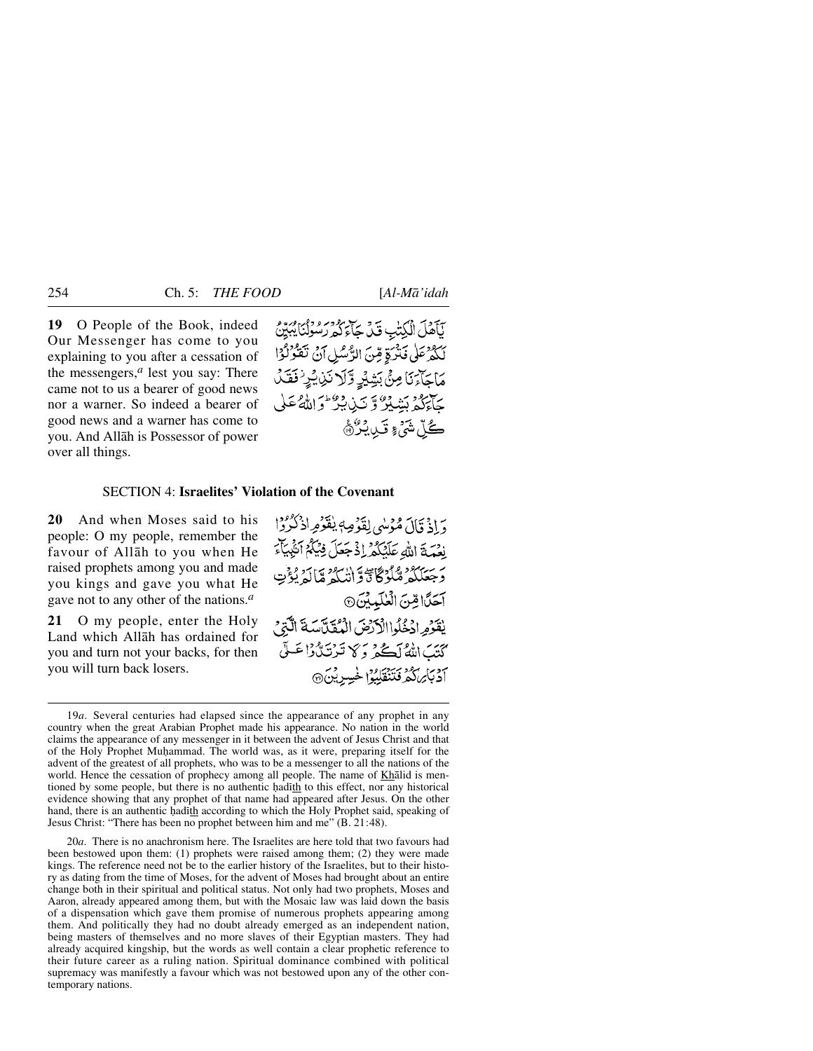**19** O People of the Book, indeed Our Messenger has come to you explaining to you after a cessation of the messengers, $<sup>a</sup>$  lest you say: There</sup> came not to us a bearer of good news nor a warner. So indeed a bearer of good news and a warner has come to you. And Allåh is Possessor of power over all things.

يَآمَلَ الْكِتْبِ قَدْ جَآءَ كَمْ رَسُولُنَا يُبَيِّنُ لَكُمْ عَلَى فَتَرَةٍ مِّنَ الرُّسُلِ آنُ تَقَرّْلُوْا مَاجَآءَنَا مِنْ بَشِيْرِ وَّلَا نَنِيْرُ فَقَلْ حَاءَكُمْ بَشِيْرٌ وَ تَبْنِ بِبَرٌ وَاللَّهُ عَلَى ڴڵۺ<sub>ٛ</sub>ۦؚۊؘڛؿۯۿ

# SECTION 4: **Israelites' Violation of the Covenant**

**20** And when Moses said to his people: O my people, remember the favour of Allåh to you when He raised prophets among you and made you kings and gave you what He gave not to any other of the nations.*<sup>a</sup>*

**21** O my people, enter the Holy Land which Allåh has ordained for you and turn not your backs, for then you will turn back losers.

وَإِذْ قَالَ مُؤْسَى لِقَوْصِهِ يُفَوِّمِ إِذْ كُرُوْا نِعْمَةَ اللَّهُ عَلَيْكُمْ إِذْ جَعَلَ فِيَكُمْ أُنْبِيَآْءَ برستلكر شلوكاً وَانْتَكُمْ مَالَهُ يُؤْتِ أَحَلَّ الِّنَ الْعَلَيْدِينَ @ يْقَدِّمِ ادْخُلُوا الْأَرْضَ الْمُقَلَّاسَةَ الَّذِي كَتَبَ اللَّهُ لَكُمْ وَكَا تَرْتَدُّوْا عَلَى 7 دباير كرد كين الموسيرين

20*a*. There is no anachronism here. The Israelites are here told that two favours had been bestowed upon them: (1) prophets were raised among them; (2) they were made kings. The reference need not be to the earlier history of the Israelites, but to their history as dating from the time of Moses, for the advent of Moses had brought about an entire change both in their spiritual and political status. Not only had two prophets, Moses and Aaron, already appeared among them, but with the Mosaic law was laid down the basis of a dispensation which gave them promise of numerous prophets appearing among them. And politically they had no doubt already emerged as an independent nation, being masters of themselves and no more slaves of their Egyptian masters. They had already acquired kingship, but the words as well contain a clear prophetic reference to their future career as a ruling nation. Spiritual dominance combined with political supremacy was manifestly a favour which was not bestowed upon any of the other contemporary nations.

<sup>19</sup>*a*. Several centuries had elapsed since the appearance of any prophet in any country when the great Arabian Prophet made his appearance. No nation in the world claims the appearance of any messenger in it between the advent of Jesus Christ and that of the Holy Prophet Muhammad. The world was, as it were, preparing itself for the advent of the greatest of all prophets, who was to be a messenger to all the nations of the world. Hence the cessation of prophecy among all people. The name of Khalid is mentioned by some people, but there is no authentic hadith to this effect, nor any historical evidence showing that any prophet of that name had appeared after Jesus. On the other hand, there is an authentic hadith according to which the Holy Prophet said, speaking of Jesus Christ: "There has been no prophet between him and me" (B. 21:48).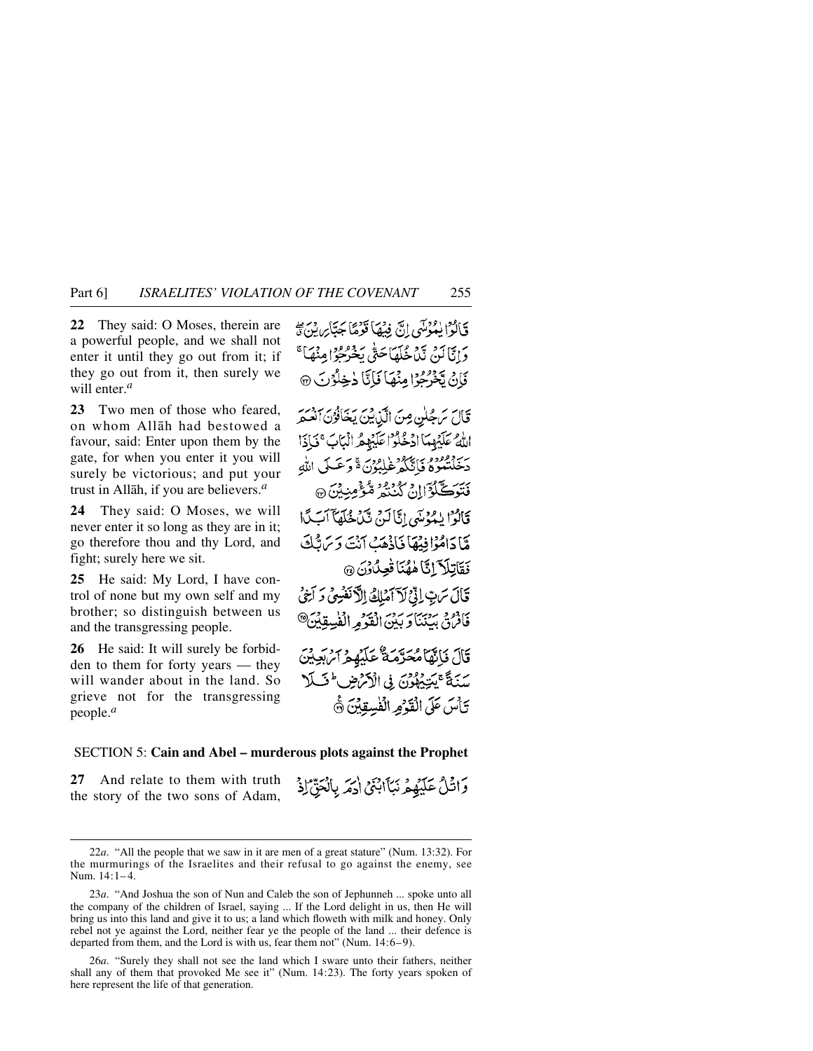**22** They said: O Moses, therein are a powerful people, and we shall not enter it until they go out from it; if they go out from it, then surely we will enter.*<sup>a</sup>*

**23** Two men of those who feared, on whom Allåh had bestowed a favour, said: Enter upon them by the gate, for when you enter it you will surely be victorious; and put your trust in Allåh, if you are believers.*<sup>a</sup>*

**24** They said: O Moses, we will never enter it so long as they are in it; go therefore thou and thy Lord, and fight; surely here we sit.

**25** He said: My Lord, I have control of none but my own self and my brother; so distinguish between us and the transgressing people.

**26** He said: It will surely be forbidden to them for forty years — they will wander about in the land. So grieve not for the transgressing people.*<sup>a</sup>*

فَبَالَوْا بِيُمُوْسَى إِنَّ فِيهُمَا قَوْمًا جَبَّا رِبِّي دَانَّا لَيْنَ يَدْمِ عَلَمَا حَتَّى بِخَرْجُوا مِنْهَاَ ۚ فَإِنْ يَخْرُجُوْا مِنْهَا فَإِنَّا دٰخِلُوْنَ ۞ قَالَ سَ4ُلِن مِنَ الَّذِينَ يَخَافُرُنِ أَنْعَمَرَ اللَّهُ عَلَيْهِمَا ادْخُلُوْ اعْلَيْهِمُ الْبَابَ ۚ فَبَاذَا بِرَجَعْتُوهُ فَأَنَّكُمْ غَلِبُوْنَ ةَ وَعَسَلَى اللَّهِ فَتَوَكَّلُوْٓالِنَّ كَنْنَعُ مُّؤْمِنِيْنَ۞ قَالَوْا بِيَدْمَنِي إِيَّالَهِ بِيَنْ خُلَّصَآ آَبَ كَمَا هَّا دَامُوۡاٰ فِیۡھَاۡ فَاٰذُہِمَۡتَ ٱنۡتَ وَیَرَاتُّکَ فَقَاتِلَا َإِنَّا هٰهُنَا فَعِنْدُنَ ۞ قَالَ سَتِ إِذْ لَآ آمَلِكُ الْآنَفُسِيۡ وَ ٱخِیۡ فَأَفْرُقَ بِيَنْنَاوَ بِيْنَ الْقَوْمِهِ الْفُلِيقِيْنَ@ قَالَ فَبَاتِهَا مُحَرَّمَةٌ عَلَيْهِمْ آمِ بَعِيْنَ سَنَةً عَيْنِيْهِهُوْنَ فِي الْأَمْرُضِ فَلَلا تَأْسَ عَلَى الْقَدْمِ الْفُسِقِيْنَ ۞

وَإِخْلُ عَلَيْهِمْ نَبَأَابِنَيْ إِحْمَرِ بِالْعَقِّ إِذْ

## SECTION 5: **Cain and Abel – murderous plots against the Prophet**

**27** And relate to them with truth the story of the two sons of Adam,

<sup>22</sup>*a*. "All the people that we saw in it are men of a great stature" (Num. 13:32). For the murmurings of the Israelites and their refusal to go against the enemy, see Num. 14:1-4.

<sup>23</sup>*a*. "And Joshua the son of Nun and Caleb the son of Jephunneh ... spoke unto all the company of the children of Israel, saying ... If the Lord delight in us, then He will bring us into this land and give it to us; a land which floweth with milk and honey. Only rebel not ye against the Lord, neither fear ye the people of the land ... their defence is departed from them, and the Lord is with us, fear them not" (Num. 14:6–9).

<sup>26</sup>*a*. "Surely they shall not see the land which I sware unto their fathers, neither shall any of them that provoked Me see it" (Num. 14:23). The forty years spoken of here represent the life of that generation.